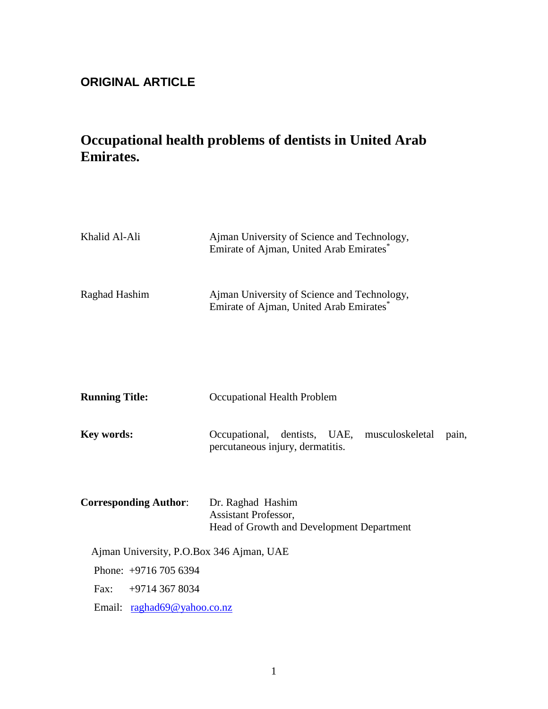## **ORIGINAL ARTICLE**

# **Occupational health problems of dentists in United Arab Emirates.**

| Khalid Al-Ali                            | Ajman University of Science and Technology,<br>Emirate of Ajman, United Arab Emirates*    |  |  |
|------------------------------------------|-------------------------------------------------------------------------------------------|--|--|
| Raghad Hashim                            | Ajman University of Science and Technology,<br>Emirate of Ajman, United Arab Emirates*    |  |  |
| <b>Running Title:</b>                    | Occupational Health Problem                                                               |  |  |
| <b>Key words:</b>                        | Occupational, dentists, UAE, musculoskeletal<br>pain,<br>percutaneous injury, dermatitis. |  |  |
| <b>Corresponding Author:</b>             | Dr. Raghad Hashim<br>Assistant Professor,<br>Head of Growth and Development Department    |  |  |
| Ajman University, P.O.Box 346 Ajman, UAE |                                                                                           |  |  |
| Phone: +9716 705 6394                    |                                                                                           |  |  |
| +9714 367 8034<br>Fax:                   |                                                                                           |  |  |
| Email: raghad69@yahoo.co.nz              |                                                                                           |  |  |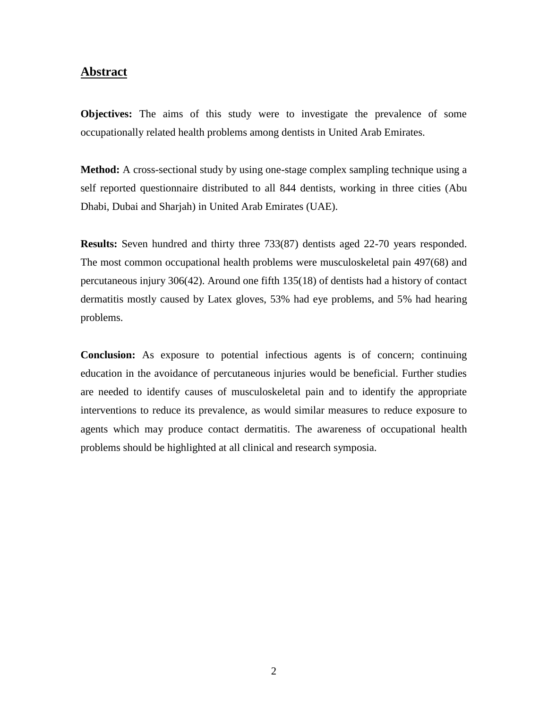### **Abstract**

**Objectives:** The aims of this study were to investigate the prevalence of some occupationally related health problems among dentists in United Arab Emirates.

**Method:** A cross-sectional study by using one-stage complex sampling technique using a self reported questionnaire distributed to all 844 dentists, working in three cities (Abu Dhabi, Dubai and Sharjah) in United Arab Emirates (UAE).

**Results:** Seven hundred and thirty three 733(87) dentists aged 22-70 years responded. The most common occupational health problems were musculoskeletal pain 497(68) and percutaneous injury 306(42). Around one fifth 135(18) of dentists had a history of contact dermatitis mostly caused by Latex gloves, 53% had eye problems, and 5% had hearing problems.

**Conclusion:** As exposure to potential infectious agents is of concern; continuing education in the avoidance of percutaneous injuries would be beneficial. Further studies are needed to identify causes of musculoskeletal pain and to identify the appropriate interventions to reduce its prevalence, as would similar measures to reduce exposure to agents which may produce contact dermatitis. The awareness of occupational health problems should be highlighted at all clinical and research symposia.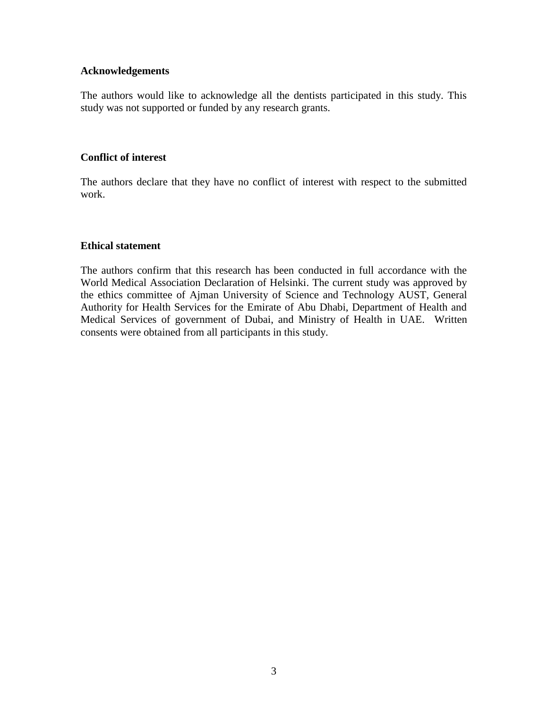#### **Acknowledgements**

The authors would like to acknowledge all the dentists participated in this study. This study was not supported or funded by any research grants.

#### **Conflict of interest**

The authors declare that they have no conflict of interest with respect to the submitted work.

#### **Ethical statement**

The authors confirm that this research has been conducted in full accordance with the World Medical Association Declaration of Helsinki. The current study was approved by the ethics committee of Ajman University of Science and Technology AUST, General Authority for Health Services for the Emirate of Abu Dhabi, Department of Health and Medical Services of government of Dubai, and Ministry of Health in UAE. Written consents were obtained from all participants in this study.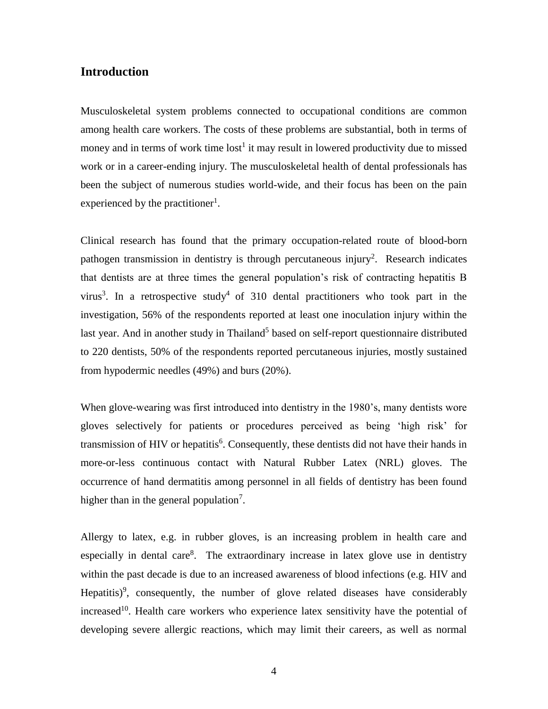## **Introduction**

Musculoskeletal system problems connected to occupational conditions are common among health care workers. The costs of these problems are substantial, both in terms of money and in terms of work time  $\text{lost}^1$  it may result in lowered productivity due to missed work or in a career-ending injury. The musculoskeletal health of dental professionals has been the subject of numerous studies world-wide, and their focus has been on the pain experienced by the practitioner<sup>1</sup>.

Clinical research has found that the primary occupation-related route of blood-born pathogen transmission in dentistry is through percutaneous injury<sup>2</sup>. Research indicates that dentists are at three times the general population's risk of contracting hepatitis B virus<sup>3</sup>. In a retrospective study<sup>4</sup> of 310 dental practitioners who took part in the investigation, 56% of the respondents reported at least one inoculation injury within the last year. And in another study in Thailand<sup>5</sup> based on self-report questionnaire distributed to 220 dentists, 50% of the respondents reported percutaneous injuries, mostly sustained from hypodermic needles (49%) and burs (20%).

When glove-wearing was first introduced into dentistry in the 1980's, many dentists wore gloves selectively for patients or procedures perceived as being 'high risk' for transmission of HIV or hepatitis<sup>6</sup>. Consequently, these dentists did not have their hands in more-or-less continuous contact with Natural Rubber Latex (NRL) gloves. The occurrence of hand dermatitis among personnel in all fields of dentistry has been found higher than in the general population<sup>7</sup>.

Allergy to latex, e.g. in rubber gloves, is an increasing problem in health care and especially in dental care $8$ . The extraordinary increase in latex glove use in dentistry within the past decade is due to an increased awareness of blood infections (e.g. HIV and Hepatitis)<sup>9</sup>, consequently, the number of glove related diseases have considerably increased<sup>10</sup>. Health care workers who experience latex sensitivity have the potential of developing severe allergic reactions, which may limit their careers, as well as normal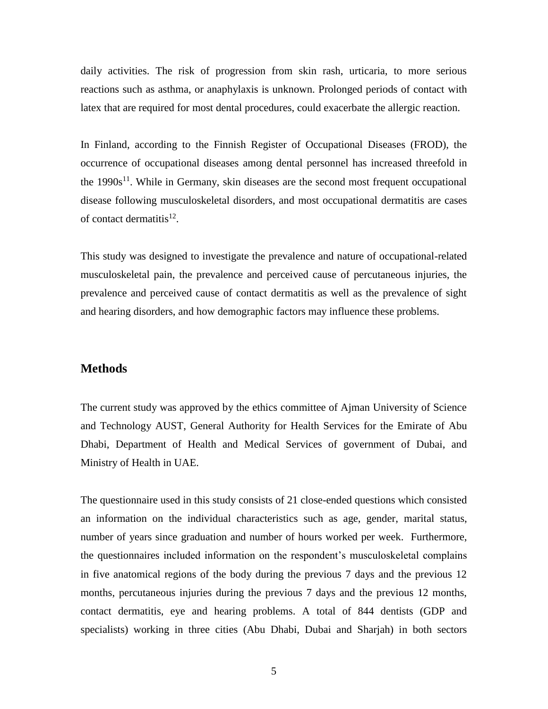daily activities. The risk of progression from skin rash, urticaria, to more serious reactions such as asthma, or anaphylaxis is unknown. Prolonged periods of contact with latex that are required for most dental procedures, could exacerbate the allergic reaction.

In Finland, according to the Finnish Register of Occupational Diseases (FROD), the occurrence of occupational diseases among dental personnel has increased threefold in the  $1990s<sup>11</sup>$ . While in Germany, skin diseases are the second most frequent occupational disease following musculoskeletal disorders, and most occupational dermatitis are cases of contact dermatitis<sup>12</sup>.

This study was designed to investigate the prevalence and nature of occupational-related musculoskeletal pain, the prevalence and perceived cause of percutaneous injuries, the prevalence and perceived cause of contact dermatitis as well as the prevalence of sight and hearing disorders, and how demographic factors may influence these problems.

#### **Methods**

The current study was approved by the ethics committee of Ajman University of Science and Technology AUST, General Authority for Health Services for the Emirate of Abu Dhabi, Department of Health and Medical Services of government of Dubai, and Ministry of Health in UAE.

The questionnaire used in this study consists of 21 close-ended questions which consisted an information on the individual characteristics such as age, gender, marital status, number of years since graduation and number of hours worked per week. Furthermore, the questionnaires included information on the respondent's musculoskeletal complains in five anatomical regions of the body during the previous 7 days and the previous 12 months, percutaneous injuries during the previous 7 days and the previous 12 months, contact dermatitis, eye and hearing problems. A total of 844 dentists (GDP and specialists) working in three cities (Abu Dhabi, Dubai and Sharjah) in both sectors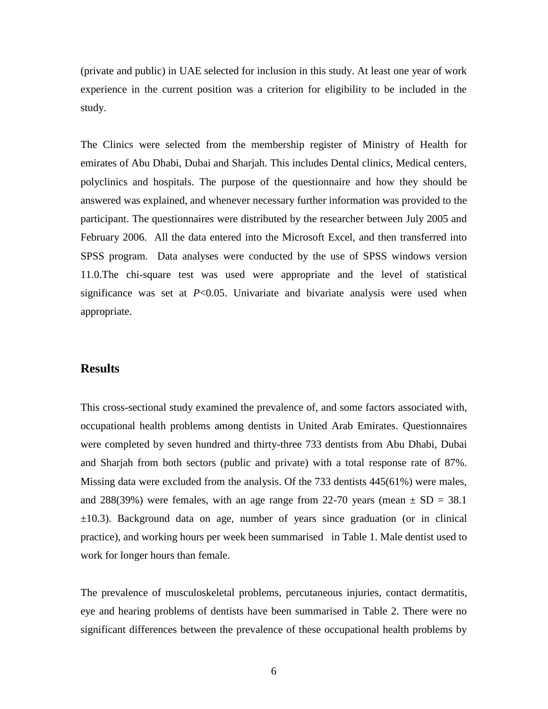(private and public) in UAE selected for inclusion in this study. At least one year of work experience in the current position was a criterion for eligibility to be included in the study.

The Clinics were selected from the membership register of Ministry of Health for emirates of Abu Dhabi, Dubai and Sharjah. This includes Dental clinics, Medical centers, polyclinics and hospitals. The purpose of the questionnaire and how they should be answered was explained, and whenever necessary further information was provided to the participant. The questionnaires were distributed by the researcher between July 2005 and February 2006. All the data entered into the Microsoft Excel, and then transferred into SPSS program. Data analyses were conducted by the use of SPSS windows version 11.0.The chi-square test was used were appropriate and the level of statistical significance was set at  $P<0.05$ . Univariate and bivariate analysis were used when appropriate.

#### **Results**

This cross-sectional study examined the prevalence of, and some factors associated with, occupational health problems among dentists in United Arab Emirates. Questionnaires were completed by seven hundred and thirty-three 733 dentists from Abu Dhabi, Dubai and Sharjah from both sectors (public and private) with a total response rate of 87%. Missing data were excluded from the analysis. Of the 733 dentists 445(61%) were males, and 288(39%) were females, with an age range from 22-70 years (mean  $\pm$  SD = 38.1  $\pm 10.3$ ). Background data on age, number of years since graduation (or in clinical practice), and working hours per week been summarised in Table 1. Male dentist used to work for longer hours than female.

The prevalence of musculoskeletal problems, percutaneous injuries, contact dermatitis, eye and hearing problems of dentists have been summarised in Table 2. There were no significant differences between the prevalence of these occupational health problems by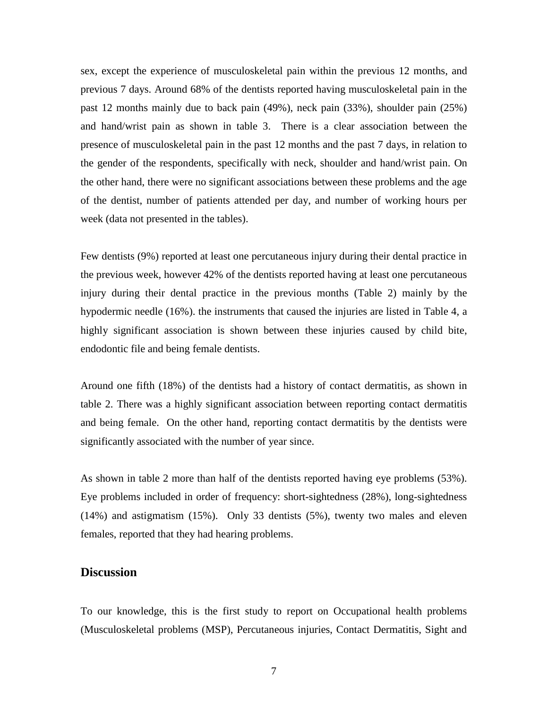sex, except the experience of musculoskeletal pain within the previous 12 months, and previous 7 days. Around 68% of the dentists reported having musculoskeletal pain in the past 12 months mainly due to back pain (49%), neck pain (33%), shoulder pain (25%) and hand/wrist pain as shown in table 3. There is a clear association between the presence of musculoskeletal pain in the past 12 months and the past 7 days, in relation to the gender of the respondents, specifically with neck, shoulder and hand/wrist pain. On the other hand, there were no significant associations between these problems and the age of the dentist, number of patients attended per day, and number of working hours per week (data not presented in the tables).

Few dentists (9%) reported at least one percutaneous injury during their dental practice in the previous week, however 42% of the dentists reported having at least one percutaneous injury during their dental practice in the previous months (Table 2) mainly by the hypodermic needle (16%). the instruments that caused the injuries are listed in Table 4, a highly significant association is shown between these injuries caused by child bite, endodontic file and being female dentists.

Around one fifth (18%) of the dentists had a history of contact dermatitis, as shown in table 2. There was a highly significant association between reporting contact dermatitis and being female. On the other hand, reporting contact dermatitis by the dentists were significantly associated with the number of year since.

As shown in table 2 more than half of the dentists reported having eye problems (53%). Eye problems included in order of frequency: short-sightedness (28%), long-sightedness (14%) and astigmatism (15%). Only 33 dentists (5%), twenty two males and eleven females, reported that they had hearing problems.

### **Discussion**

To our knowledge, this is the first study to report on Occupational health problems (Musculoskeletal problems (MSP), Percutaneous injuries, Contact Dermatitis, Sight and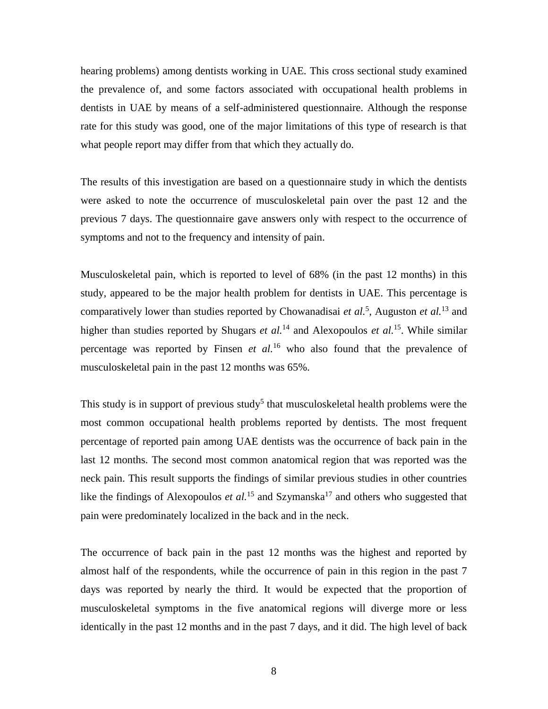hearing problems) among dentists working in UAE. This cross sectional study examined the prevalence of, and some factors associated with occupational health problems in dentists in UAE by means of a self-administered questionnaire. Although the response rate for this study was good, one of the major limitations of this type of research is that what people report may differ from that which they actually do.

The results of this investigation are based on a questionnaire study in which the dentists were asked to note the occurrence of musculoskeletal pain over the past 12 and the previous 7 days. The questionnaire gave answers only with respect to the occurrence of symptoms and not to the frequency and intensity of pain.

Musculoskeletal pain, which is reported to level of 68% (in the past 12 months) in this study, appeared to be the major health problem for dentists in UAE. This percentage is comparatively lower than studies reported by Chowanadisai *et al.*<sup>5</sup> , Auguston *et al.*<sup>13</sup> and higher than studies reported by Shugars *et al.*<sup>14</sup> and Alexopoulos *et al.*<sup>15</sup>. While similar percentage was reported by Finsen *et al.*<sup>16</sup> who also found that the prevalence of musculoskeletal pain in the past 12 months was 65%.

This study is in support of previous study<sup>5</sup> that musculoskeletal health problems were the most common occupational health problems reported by dentists. The most frequent percentage of reported pain among UAE dentists was the occurrence of back pain in the last 12 months. The second most common anatomical region that was reported was the neck pain. This result supports the findings of similar previous studies in other countries like the findings of Alexopoulos *et al.*<sup>15</sup> and Szymanska<sup>17</sup> and others who suggested that pain were predominately localized in the back and in the neck.

The occurrence of back pain in the past 12 months was the highest and reported by almost half of the respondents, while the occurrence of pain in this region in the past 7 days was reported by nearly the third. It would be expected that the proportion of musculoskeletal symptoms in the five anatomical regions will diverge more or less identically in the past 12 months and in the past 7 days, and it did. The high level of back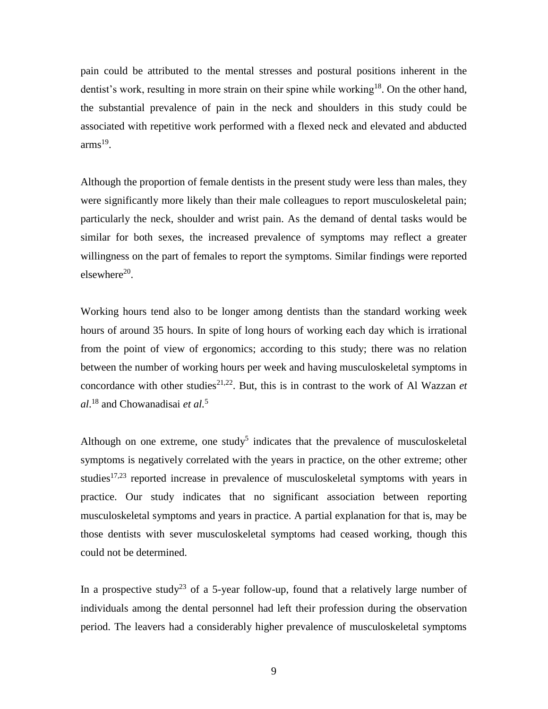pain could be attributed to the mental stresses and postural positions inherent in the dentist's work, resulting in more strain on their spine while working<sup>18</sup>. On the other hand, the substantial prevalence of pain in the neck and shoulders in this study could be associated with repetitive work performed with a flexed neck and elevated and abducted  $\text{arms}^{19}$ .

Although the proportion of female dentists in the present study were less than males, they were significantly more likely than their male colleagues to report musculoskeletal pain; particularly the neck, shoulder and wrist pain. As the demand of dental tasks would be similar for both sexes, the increased prevalence of symptoms may reflect a greater willingness on the part of females to report the symptoms. Similar findings were reported elsewhere<sup>20</sup>.

Working hours tend also to be longer among dentists than the standard working week hours of around 35 hours. In spite of long hours of working each day which is irrational from the point of view of ergonomics; according to this study; there was no relation between the number of working hours per week and having musculoskeletal symptoms in concordance with other studies<sup>21,22</sup>. But, this is in contrast to the work of Al Wazzan *et al*. <sup>18</sup> and Chowanadisai *et al.*<sup>5</sup>

Although on one extreme, one study<sup>5</sup> indicates that the prevalence of musculoskeletal symptoms is negatively correlated with the years in practice, on the other extreme; other studies<sup>17,23</sup> reported increase in prevalence of musculoskeletal symptoms with years in practice. Our study indicates that no significant association between reporting musculoskeletal symptoms and years in practice. A partial explanation for that is, may be those dentists with sever musculoskeletal symptoms had ceased working, though this could not be determined.

In a prospective study<sup>23</sup> of a 5-year follow-up, found that a relatively large number of individuals among the dental personnel had left their profession during the observation period. The leavers had a considerably higher prevalence of musculoskeletal symptoms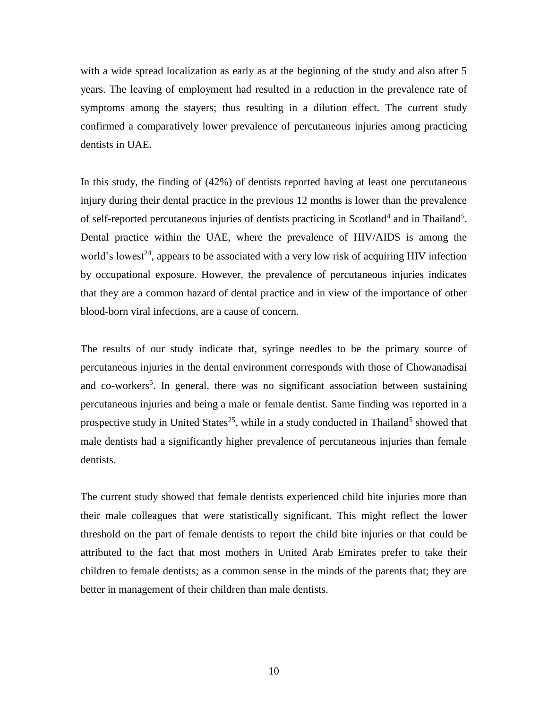with a wide spread localization as early as at the beginning of the study and also after 5 years. The leaving of employment had resulted in a reduction in the prevalence rate of symptoms among the stayers; thus resulting in a dilution effect. The current study confirmed a comparatively lower prevalence of percutaneous injuries among practicing dentists in UAE.

In this study, the finding of (42%) of dentists reported having at least one percutaneous injury during their dental practice in the previous 12 months is lower than the prevalence of self-reported percutaneous injuries of dentists practicing in Scotland<sup>4</sup> and in Thailand<sup>5</sup>. Dental practice within the UAE, where the prevalence of HIV/AIDS is among the world's lowest<sup>24</sup>, appears to be associated with a very low risk of acquiring HIV infection by occupational exposure. However, the prevalence of percutaneous injuries indicates that they are a common hazard of dental practice and in view of the importance of other blood-born viral infections, are a cause of concern.

The results of our study indicate that, syringe needles to be the primary source of percutaneous injuries in the dental environment corresponds with those of Chowanadisai and co-workers<sup>5</sup>. In general, there was no significant association between sustaining percutaneous injuries and being a male or female dentist. Same finding was reported in a prospective study in United States<sup>25</sup>, while in a study conducted in Thailand<sup>5</sup> showed that male dentists had a significantly higher prevalence of percutaneous injuries than female dentists.

The current study showed that female dentists experienced child bite injuries more than their male colleagues that were statistically significant. This might reflect the lower threshold on the part of female dentists to report the child bite injuries or that could be attributed to the fact that most mothers in United Arab Emirates prefer to take their children to female dentists; as a common sense in the minds of the parents that; they are better in management of their children than male dentists.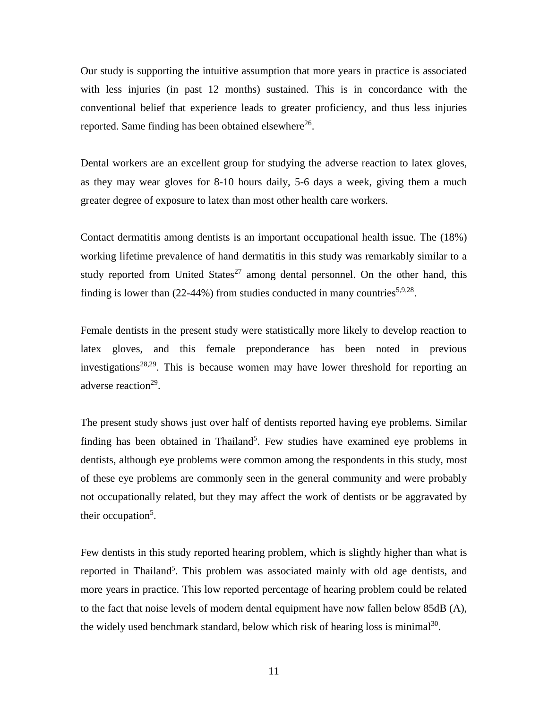Our study is supporting the intuitive assumption that more years in practice is associated with less injuries (in past 12 months) sustained. This is in concordance with the conventional belief that experience leads to greater proficiency, and thus less injuries reported. Same finding has been obtained elsewhere $^{26}$ .

Dental workers are an excellent group for studying the adverse reaction to latex gloves, as they may wear gloves for 8-10 hours daily, 5-6 days a week, giving them a much greater degree of exposure to latex than most other health care workers.

Contact dermatitis among dentists is an important occupational health issue. The (18%) working lifetime prevalence of hand dermatitis in this study was remarkably similar to a study reported from United States $^{27}$  among dental personnel. On the other hand, this finding is lower than  $(22-44%)$  from studies conducted in many countries<sup>5,9,28</sup>.

Female dentists in the present study were statistically more likely to develop reaction to latex gloves, and this female preponderance has been noted in previous investigations<sup>28,29</sup>. This is because women may have lower threshold for reporting an adverse reaction<sup>29</sup>.

The present study shows just over half of dentists reported having eye problems. Similar finding has been obtained in Thailand<sup>5</sup>. Few studies have examined eye problems in dentists, although eye problems were common among the respondents in this study, most of these eye problems are commonly seen in the general community and were probably not occupationally related, but they may affect the work of dentists or be aggravated by their occupation<sup>5</sup>.

Few dentists in this study reported hearing problem, which is slightly higher than what is reported in Thailand<sup>5</sup>. This problem was associated mainly with old age dentists, and more years in practice. This low reported percentage of hearing problem could be related to the fact that noise levels of modern dental equipment have now fallen below 85dB (A), the widely used benchmark standard, below which risk of hearing loss is minimal $30$ .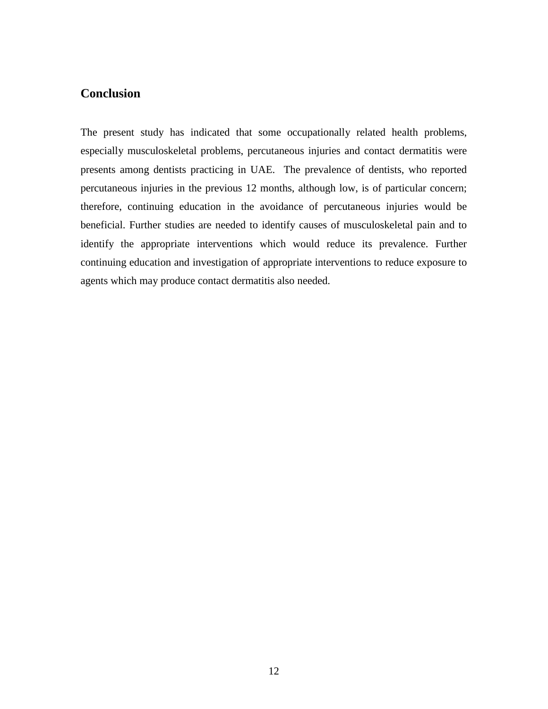## **Conclusion**

The present study has indicated that some occupationally related health problems, especially musculoskeletal problems, percutaneous injuries and contact dermatitis were presents among dentists practicing in UAE. The prevalence of dentists, who reported percutaneous injuries in the previous 12 months, although low, is of particular concern; therefore, continuing education in the avoidance of percutaneous injuries would be beneficial. Further studies are needed to identify causes of musculoskeletal pain and to identify the appropriate interventions which would reduce its prevalence. Further continuing education and investigation of appropriate interventions to reduce exposure to agents which may produce contact dermatitis also needed.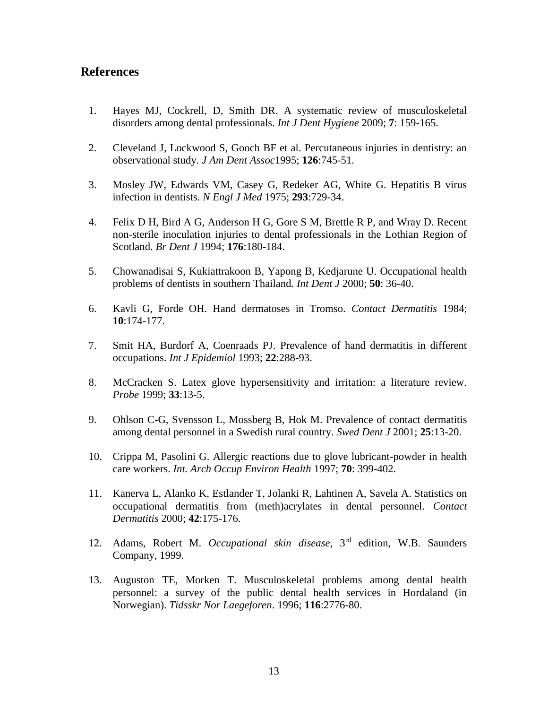## **References**

- 1. Hayes MJ, Cockrell, D, Smith DR. A systematic review of musculoskeletal disorders among dental professionals. *Int J Dent Hygiene* 2009; **7**: 159-165.
- 2. Cleveland J, Lockwood S, Gooch BF et al. Percutaneous injuries in dentistry: an observational study. *J Am Dent Assoc*1995; **126**:745-51.
- 3. Mosley JW, Edwards VM, Casey G, Redeker AG, White G. Hepatitis B virus infection in dentists. *N Engl J Med* 1975; **293**:729-34.
- 4. Felix D H, Bird A G, Anderson H G, Gore S M, Brettle R P, and Wray D. Recent non-sterile inoculation injuries to dental professionals in the Lothian Region of Scotland. *Br Dent J* 1994; **176**:180-184.
- 5. Chowanadisai S, Kukiattrakoon B, Yapong B, Kedjarune U. Occupational health problems of dentists in southern Thailand*. Int Dent J* 2000; **50**: 36-40.
- 6. Kavli G, Forde OH. Hand dermatoses in Tromso. *Contact Dermatitis* 1984; **10**:174-177.
- 7. Smit HA, Burdorf A, Coenraads PJ. Prevalence of hand dermatitis in different occupations. *Int J Epidemiol* 1993; **22**:288-93.
- 8. McCracken S. Latex glove hypersensitivity and irritation: a literature review. *Probe* 1999; **33**:13-5.
- 9. Ohlson C-G, Svensson L, Mossberg B, Hok M. Prevalence of contact dermatitis among dental personnel in a Swedish rural country. *Swed Dent J* 2001; **25**:13-20.
- 10. Crippa M, Pasolini G. Allergic reactions due to glove lubricant-powder in health care workers. *Int. Arch Occup Environ Health* 1997; **70**: 399-402.
- 11. Kanerva L, Alanko K, Estlander T, Jolanki R, Lahtinen A, Savela A. Statistics on occupational dermatitis from (meth)acrylates in dental personnel. *Contact Dermatitis* 2000; **42**:175-176.
- 12. Adams, Robert M. *Occupational skin disease*, 3rd edition, W.B. Saunders Company, 1999.
- 13. Auguston TE, Morken T. Musculoskeletal problems among dental health personnel: a survey of the public dental health services in Hordaland (in Norwegian). *Tidsskr Nor Laegeforen*. 1996; **116**:2776-80.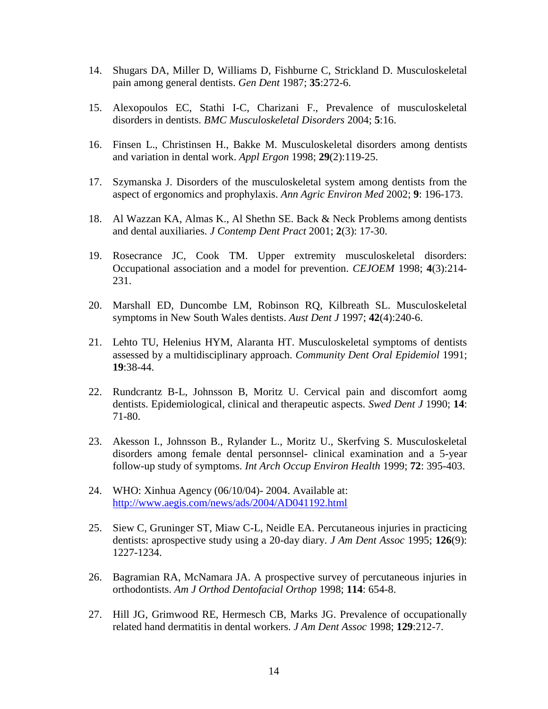- 14. Shugars DA, Miller D, Williams D, Fishburne C, Strickland D. Musculoskeletal pain among general dentists. *Gen Dent* 1987; **35**:272-6.
- 15. Alexopoulos EC, Stathi I-C, Charizani F., Prevalence of musculoskeletal disorders in dentists. *BMC Musculoskeletal Disorders* 2004; **5**:16.
- 16. Finsen L., Christinsen H., Bakke M. Musculoskeletal disorders among dentists and variation in dental work. *Appl Ergon* 1998; **29**(2):119-25.
- 17. Szymanska J. Disorders of the musculoskeletal system among dentists from the aspect of ergonomics and prophylaxis. *Ann Agric Environ Med* 2002; **9**: 196-173.
- 18. Al Wazzan KA, Almas K., Al Shethn SE. Back & Neck Problems among dentists and dental auxiliaries. *J Contemp Dent Pract* 2001; **2**(3): 17-30.
- 19. Rosecrance JC, Cook TM. Upper extremity musculoskeletal disorders: Occupational association and a model for prevention. *CEJOEM* 1998; **4**(3):214- 231.
- 20. Marshall ED, Duncombe LM, Robinson RQ, Kilbreath SL. Musculoskeletal symptoms in New South Wales dentists. *Aust Dent J* 1997; **42**(4):240-6.
- 21. Lehto TU, Helenius HYM, Alaranta HT. Musculoskeletal symptoms of dentists assessed by a multidisciplinary approach. *Community Dent Oral Epidemiol* 1991; **19**:38-44.
- 22. Rundcrantz B-L, Johnsson B, Moritz U. Cervical pain and discomfort aomg dentists. Epidemiological, clinical and therapeutic aspects. *Swed Dent J* 1990; **14**: 71-80.
- 23. Akesson I., Johnsson B., Rylander L., Moritz U., Skerfving S. Musculoskeletal disorders among female dental personnsel- clinical examination and a 5-year follow-up study of symptoms. *Int Arch Occup Environ Health* 1999; **72**: 395-403.
- 24. WHO: Xinhua Agency (06/10/04)- 2004. Available at: <http://www.aegis.com/news/ads/2004/AD041192.html>
- 25. Siew C, Gruninger ST, Miaw C-L, Neidle EA. Percutaneous injuries in practicing dentists: aprospective study using a 20-day diary. *J Am Dent Assoc* 1995; **126**(9): 1227-1234.
- 26. Bagramian RA, McNamara JA. A prospective survey of percutaneous injuries in orthodontists. *Am J Orthod Dentofacial Orthop* 1998; **114**: 654-8.
- 27. Hill JG, Grimwood RE, Hermesch CB, Marks JG. Prevalence of occupationally related hand dermatitis in dental workers. *J Am Dent Assoc* 1998; **129**:212-7.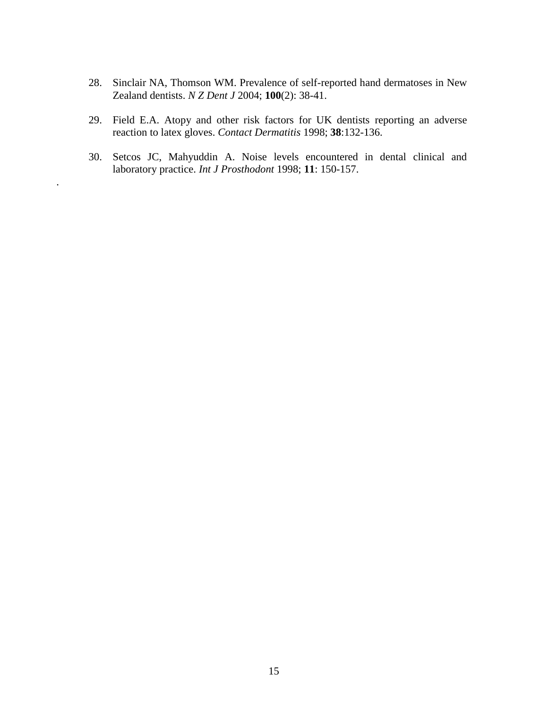- 28. Sinclair NA, Thomson WM. Prevalence of self-reported hand dermatoses in New Zealand dentists. *N Z Dent J* 2004; **100**(2): 38-41.
- 29. Field E.A. Atopy and other risk factors for UK dentists reporting an adverse reaction to latex gloves. *Contact Dermatitis* 1998; **38**:132-136.
- 30. Setcos JC, Mahyuddin A. Noise levels encountered in dental clinical and laboratory practice. *Int J Prosthodont* 1998; **11**: 150-157.

.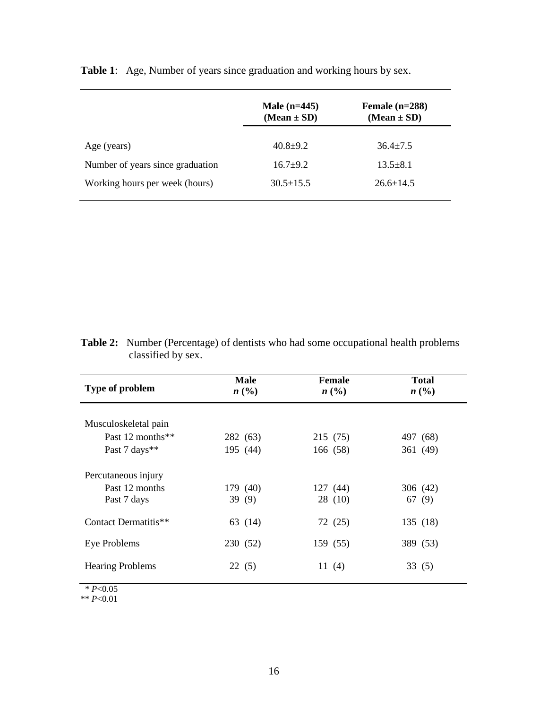|                                  | Male $(n=445)$<br>$(Mean \pm SD)$ | Female $(n=288)$<br>$(Mean \pm SD)$ |
|----------------------------------|-----------------------------------|-------------------------------------|
| Age (years)                      | $40.8 + 9.2$                      | $36.4 \pm 7.5$                      |
| Number of years since graduation | $16.7+9.2$                        | $13.5 \pm 8.1$                      |
| Working hours per week (hours)   | $30.5 \pm 15.5$                   | $26.6 \pm 14.5$                     |

**Table 1**: Age, Number of years since graduation and working hours by sex.

| <b>Table 2:</b> Number (Percentage) of dentists who had some occupational health problems |
|-------------------------------------------------------------------------------------------|
| classified by sex.                                                                        |

| Type of problem         | <b>Male</b><br>n(%) | Female<br>n(%) | <b>Total</b><br>$n\left(\frac{0}{0}\right)$ |
|-------------------------|---------------------|----------------|---------------------------------------------|
|                         |                     |                |                                             |
| Musculoskeletal pain    |                     |                |                                             |
| Past 12 months $**$     | 282 (63)            | 215 (75)       | 497 (68)                                    |
| Past 7 days**           | 195 (44)            | 166 (58)       | 361 (49)                                    |
| Percutaneous injury     |                     |                |                                             |
| Past 12 months          | 179 (40)            | 127(44)        | 306 (42)                                    |
| Past 7 days             | 39(9)               | 28(10)         | 67 (9)                                      |
| Contact Dermatitis**    | 63 (14)             | 72 (25)        | 135 (18)                                    |
| Eye Problems            | 230 (52)            | 159 (55)       | 389 (53)                                    |
| <b>Hearing Problems</b> | 22(5)               | 11 $(4)$       | 33(5)                                       |
| * $P<0.05$              |                     |                |                                             |

\*\* *P*<0.01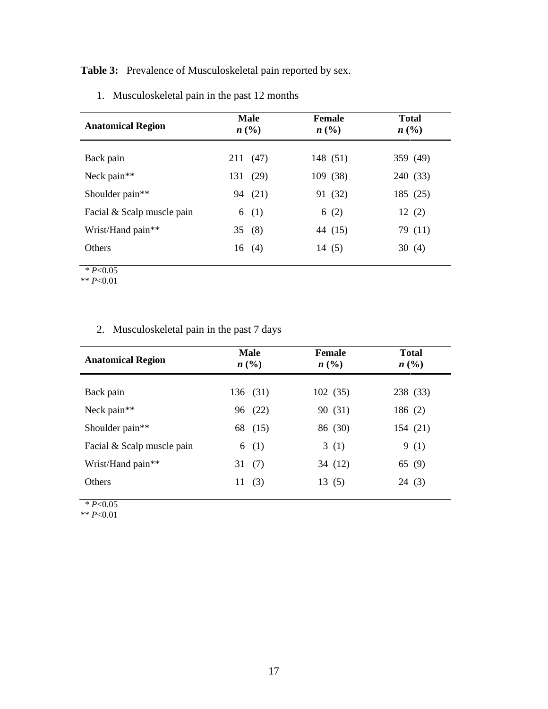**Table 3:** Prevalence of Musculoskeletal pain reported by sex.

| <b>Anatomical Region</b>                        | <b>Male</b><br>n(%) |              | <b>Female</b><br>$n\left(\frac{0}{0}\right)$ |                     | <b>Total</b><br>$n\left(\frac{0}{0}\right)$ |         |
|-------------------------------------------------|---------------------|--------------|----------------------------------------------|---------------------|---------------------------------------------|---------|
| Back pain                                       | 131                 | 211 (47)     |                                              | 148 (51)            | 359 (49)                                    |         |
| Neck pain**<br>Shoulder pain**                  | 94                  | (29)<br>(21) |                                              | 109 (38)<br>91 (32) | 240 (33)<br>185 (25)                        |         |
| Facial & Scalp muscle pain<br>Wrist/Hand pain** | 6                   | (1)<br>35(8) |                                              | 6(2)<br>44 (15)     | 12(2)                                       | 79 (11) |
| <b>Others</b>                                   |                     | 16(4)        |                                              | 14 (5)              | 30 $(4)$                                    |         |

1. Musculoskeletal pain in the past 12 months

 $* P < 0.05$ 

\*\* *P*<0.01

## 2. Musculoskeletal pain in the past 7 days

| <b>Anatomical Region</b>   | <b>Male</b><br>n(%) | <b>Female</b><br>n(%) | <b>Total</b><br>n(%) |  |
|----------------------------|---------------------|-----------------------|----------------------|--|
| Back pain                  | 136 (31)            | 102(35)               | 238 (33)             |  |
| Neck pain**                | 96 (22)             | 90 (31)               | 186(2)               |  |
| Shoulder pain**            | 68 (15)             | 86 (30)               | 154 (21)             |  |
| Facial & Scalp muscle pain | (1)<br>6            | 3(1)                  | 9(1)                 |  |
| Wrist/Hand pain**          | (7)<br>31           | 34 (12)               | 65 (9)               |  |
| <b>Others</b>              | (3)<br>11           | 13(5)                 | 24(3)                |  |
|                            |                     |                       |                      |  |

 $* P < 0.05$ 

\*\* *P*<0.01